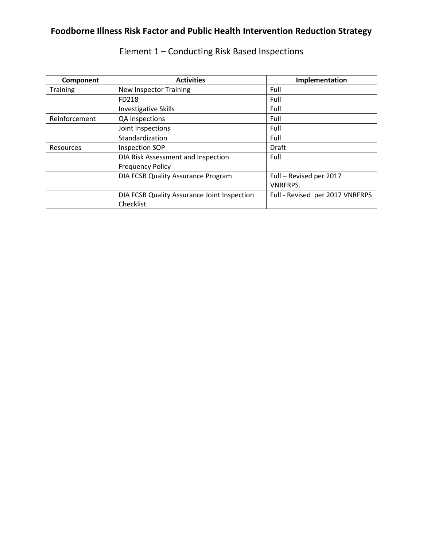| Component       | <b>Activities</b>                           | Implementation                  |
|-----------------|---------------------------------------------|---------------------------------|
| <b>Training</b> | <b>New Inspector Training</b>               | Full                            |
|                 | FD218                                       | Full                            |
|                 | <b>Investigative Skills</b>                 | Full                            |
| Reinforcement   | QA Inspections                              | Full                            |
|                 | Joint Inspections                           | Full                            |
|                 | Standardization                             | Full                            |
| Resources       | <b>Inspection SOP</b>                       | Draft                           |
|                 | DIA Risk Assessment and Inspection          | Full                            |
|                 | <b>Frequency Policy</b>                     |                                 |
|                 | DIA FCSB Quality Assurance Program          | Full - Revised per 2017         |
|                 |                                             | <b>VNRFRPS.</b>                 |
|                 | DIA FCSB Quality Assurance Joint Inspection | Full - Revised per 2017 VNRFRPS |
|                 | Checklist                                   |                                 |

Element 1 – Conducting Risk Based Inspections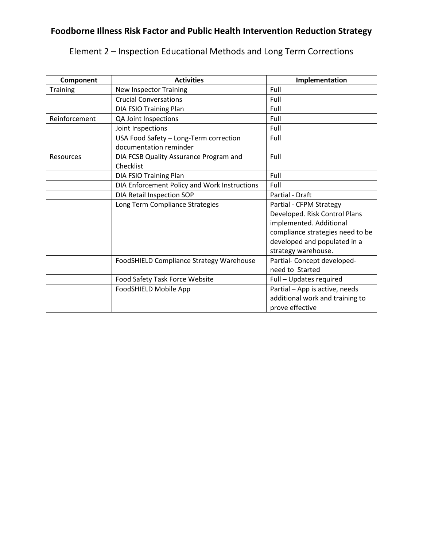|  |  | Element 2 - Inspection Educational Methods and Long Term Corrections |  |  |  |  |
|--|--|----------------------------------------------------------------------|--|--|--|--|
|--|--|----------------------------------------------------------------------|--|--|--|--|

| Component        | <b>Activities</b>                                                | Implementation                   |
|------------------|------------------------------------------------------------------|----------------------------------|
| <b>Training</b>  | <b>New Inspector Training</b>                                    | Full                             |
|                  | <b>Crucial Conversations</b>                                     | Full                             |
|                  | DIA FSIO Training Plan                                           | Full                             |
| Reinforcement    | QA Joint Inspections                                             | Full                             |
|                  | Joint Inspections                                                | Full                             |
|                  | USA Food Safety - Long-Term correction<br>documentation reminder | Full                             |
| <b>Resources</b> | DIA FCSB Quality Assurance Program and<br>Checklist              | Full                             |
|                  | DIA FSIO Training Plan                                           | Full                             |
|                  | DIA Enforcement Policy and Work Instructions                     | Full                             |
|                  | DIA Retail Inspection SOP                                        | Partial - Draft                  |
|                  | Long Term Compliance Strategies                                  | Partial - CFPM Strategy          |
|                  |                                                                  | Developed. Risk Control Plans    |
|                  |                                                                  | implemented. Additional          |
|                  |                                                                  | compliance strategies need to be |
|                  |                                                                  | developed and populated in a     |
|                  |                                                                  | strategy warehouse.              |
|                  | FoodSHIELD Compliance Strategy Warehouse                         | Partial- Concept developed-      |
|                  |                                                                  | need to Started                  |
|                  | Food Safety Task Force Website                                   | Full - Updates required          |
|                  | FoodSHIELD Mobile App                                            | Partial - App is active, needs   |
|                  |                                                                  | additional work and training to  |
|                  |                                                                  | prove effective                  |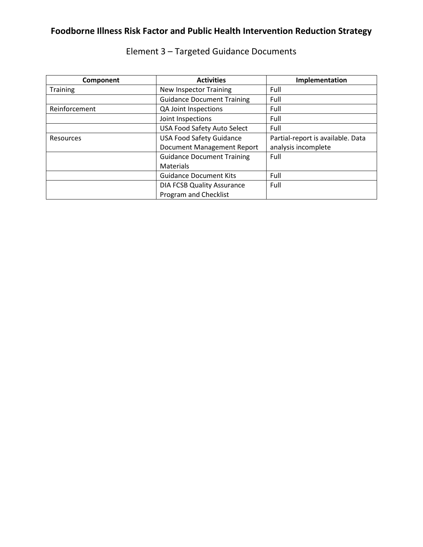| Component       | <b>Activities</b>                  | Implementation                    |
|-----------------|------------------------------------|-----------------------------------|
| <b>Training</b> | <b>New Inspector Training</b>      | Full                              |
|                 | <b>Guidance Document Training</b>  | Full                              |
| Reinforcement   | QA Joint Inspections               | Full                              |
|                 | Joint Inspections                  | Full                              |
|                 | <b>USA Food Safety Auto Select</b> | Full                              |
| Resources       | <b>USA Food Safety Guidance</b>    | Partial-report is available. Data |
|                 | <b>Document Management Report</b>  | analysis incomplete               |
|                 | <b>Guidance Document Training</b>  | Full                              |
|                 | <b>Materials</b>                   |                                   |
|                 | <b>Guidance Document Kits</b>      | Full                              |
|                 | <b>DIA FCSB Quality Assurance</b>  | Full                              |
|                 | Program and Checklist              |                                   |

## Element 3 – Targeted Guidance Documents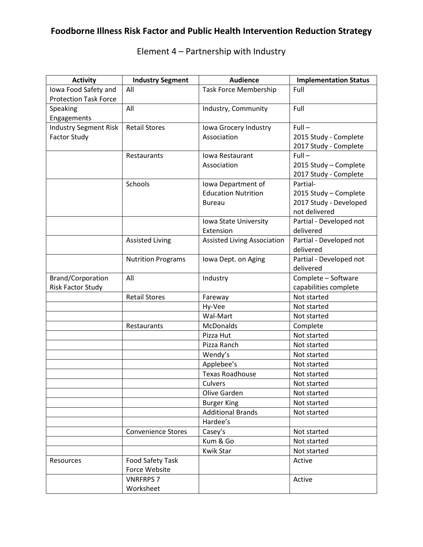#### Activity **Industry Segment** | Audience | Implementation Status Iowa Food Safety and Protection Task Force All **Task Force Membership** Full Speaking Engagements All **Industry, Community** Full Industry Segment Risk Factor Study Retail Stores | Iowa Grocery Industry Association  $Full -$ 2015 Study - Complete 2017 Study - Complete Restaurants Iowa Restaurant Association Full – 2015 Study – Complete 2017 Study - Complete Schools Iowa Department of Education Nutrition Bureau Partial-2015 Study – Complete 2017 Study - Developed not delivered Iowa State University Extension Partial - Developed not delivered Assisted Living **Assisted Living Association** | Partial - Developed not delivered Nutrition Programs | Iowa Dept. on Aging | Partial - Developed not delivered Brand/Corporation Risk Factor Study All and Industry and Industry and Industry Complete – Software capabilities complete Retail Stores Fareway Retail Stores Fareway Hy-Vee Not started Wal-Mart Not started Restaurants | McDonalds | Complete Pizza Hut Not started Pizza Ranch Not started Wendy's **Not started** Applebee's **Not started** Texas Roadhouse | Not started Culvers Not started Olive Garden Not started Burger King Not started Additional Brands Not started Hardee's Convenience Stores | Casey's | Not started Kum & Go Not started Kwik Star Not started Resources Food Safety Task Force Website Active VNRFRPS 7 Active

Worksheet

### Element 4 – Partnership with Industry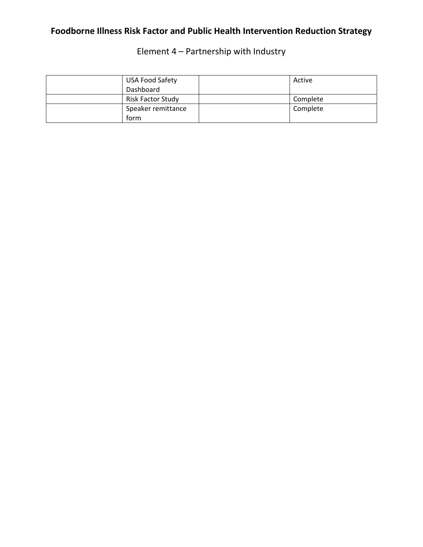Element 4 – Partnership with Industry

| <b>USA Food Safety</b> | Active   |
|------------------------|----------|
| Dashboard              |          |
| Risk Factor Study      | Complete |
| Speaker remittance     | Complete |
| form                   |          |